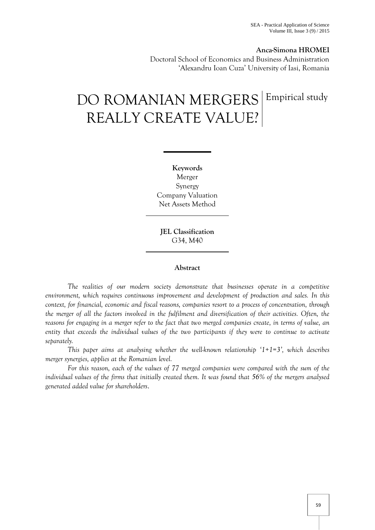# **Anca-Simona HROMEI**

Doctoral School of Economics and Business Administration 'Alexandru Ioan Cuza' University of Iasi, Romania

# DO ROMANIAN MERGERS REALLY CREATE VALUE? Empirical study

**Keywords** Merger Synergy Company Valuation Net Assets Method

**JEL Classification**  G34, M40

## **Abstract**

*The realities of our modern society demonstrate that businesses operate in a competitive environment, which requires continuous improvement and development of production and sales. In this context, for financial, economic and fiscal reasons, companies resort to a process of concentration, through the merger of all the factors involved in the fulfilment and diversification of their activities. Often, the reasons for engaging in a merger refer to the fact that two merged companies create, in terms of value, an entity that exceeds the individual values of the two participants if they were to continue to activate separately.*

*This paper aims at analysing whether the well-known relationship '1+1=3', which describes merger synergies, applies at the Romanian level.*

*For this reason, each of the values of 77 merged companies were compared with the sum of the individual values of the firms that initially created them. It was found that 56% of the mergers analysed generated added value for shareholders*.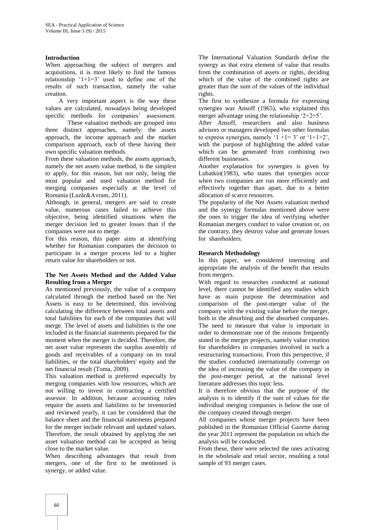# **Introduction**

When approaching the subject of mergers and acquisitions, it is most likely to find the famous relationship  $1+1=3$  used to define one of the results of such transaction, namely the value creation.

A very important aspect is the way these values are calculated, nowadays being developed specific methods for companies' assessment.

These valuation methods are grouped into three distinct approaches, namely: the assets approach, the income approach and the market comparison approach, each of these having their own specific valuation methods.

From these valuation methods, the assets approach, namely the net assets value method, is the simplest to apply, for this reason, but not only, being the most popular and used valuation method for merging companies especially at the level of Romania (Lazăr&Avram, 2011).

Although, in general, mergers are said to create value, numerous cases failed to achieve this objective, being identified situations when the merger decision led to greater losses than if the companies were not to merge.

For this reason, this paper aims at identifying whether for Romanian companies the decision to participate in a merger process led to a higher return value for shareholders or not.

# **The Net Assets Method and the Added Value Resulting from a Merger**

As mentioned previously, the value of a company calculated through the method based on the Net Assets is easy to be determined, this involving calculating the difference between total assets and total liabilities for each of the companies that will merge. The level of assets and liabilities is the one included in the financial statements prepared for the moment when the merger is decided. Therefore, the net asset value represents the surplus assembly of goods and receivables of a company on its total liabilities, or the total shareholders' equity and the net financial result (Toma, 2009).

This valuation method is preferred especially by merging companies with low resources, which are not willing to invest in contracting a certified assessor. In addition, because accounting rules require the assets and liabilities to be inventoried and reviewed yearly, it can be considered that the balance sheet and the financial statements prepared for the merger include relevant and updated values. Therefore, the result obtained by applying the net asset valuation method can be accepted as being close to the market value.

When describing advantages that result from mergers, one of the first to be mentioned is synergy, or added value.

The International Valuation Standards define the synergy as that extra element of value that results from the combination of assets or rights, deciding which of the value of the combined rights are greater than the sum of the values of the individual rights.

The first to synthesize a formula for expressing synergies was Ansoff (1965), who explained this merger advantage using the relationship  $2+2=5$ .

After Ansoff, researchers and also business advisors or managers developed two other formulas to express synergies, namely '1 +1= 3' or '1+1>2', with the purpose of highlighting the added value which can be generated from combining two different businesses.

Another explanation for synergies is given by Lubatkin(1983), who states that synergies occur when two companies are run more efficiently and effectively together than apart, due to a better allocation of scarce resources.

The popularity of the Net Assets valuation method and the synergy formulas mentioned above were the ones to trigger the idea of verifying whether Romanian mergers conduct to value creation or, on the contrary, they destroy value and generate losses for shareholders.

# **Research Methodology**

In this paper, we considered interesting and appropriate the analysis of the benefit that results from mergers.

With regard to researches conducted at national level, there cannot be identified any studies which have as main purpose the determination and comparison of the post-merger value of the company with the existing value before the merger, both in the absorbing and the absorbed companies. The need to measure that value is important in order to demonstrate one of the reasons frequently stated in the merger projects, namely value creation for shareholders in companies involved in such a restructuring transactions. From this perspective, if the studies conducted internationally converge on the idea of increasing the value of the company in the post-merger period, at the national level literature addresses this topic less.

It is therefore obvious that the purpose of the analysis is to identify if the sum of values for the individual merging companies is below the one of the company created through merger.

All companies whose merger projects have been published in the Romanian Official Gazette during the year 2011 represent the population on which the analysis will be conducted.

From these, there were selected the ones activating in the wholesale and retail sector, resulting a total sample of 93 merger cases.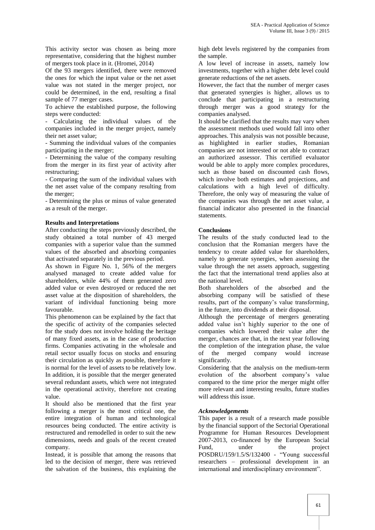This activity sector was chosen as being more representative, considering that the highest number of mergers took place in it. (Hromei, 2014)

Of the 93 mergers identified, there were removed the ones for which the input value or the net asset value was not stated in the merger project, nor could be determined, in the end, resulting a final sample of 77 merger cases.

To achieve the established purpose, the following steps were conducted:

- Calculating the individual values of the companies included in the merger project, namely their net asset value;

- Summing the individual values of the companies participating in the merger;

- Determining the value of the company resulting from the merger in its first year of activity after restructuring;

- Comparing the sum of the individual values with the net asset value of the company resulting from the merger;

- Determining the plus or minus of value generated as a result of the merger.

# **Results and Interpretations**

After conducting the steps previously described, the study obtained a total number of 43 merged companies with a superior value than the summed values of the absorbed and absorbing companies that activated separately in the previous period.

As shown in Figure No. 1, 56% of the mergers analysed managed to create added value for shareholders, while 44% of them generated zero added value or even destroyed or reduced the net asset value at the disposition of shareholders, the variant of individual functioning being more favourable.

This phenomenon can be explained by the fact that the specific of activity of the companies selected for the study does not involve holding the heritage of many fixed assets, as in the case of production firms. Companies activating in the wholesale and retail sector usually focus on stocks and ensuring their circulation as quickly as possible, therefore it is normal for the level of assets to be relatively low. In addition, it is possible that the merger generated several redundant assets, which were not integrated in the operational activity, therefore not creating value.

It should also be mentioned that the first year following a merger is the most critical one, the entire integration of human and technological resources being conducted. The entire activity is restructured and remodelled in order to suit the new dimensions, needs and goals of the recent created company.

Instead, it is possible that among the reasons that led to the decision of merger, there was retrieved the salvation of the business, this explaining the

high debt levels registered by the companies from the sample.

A low level of increase in assets, namely low investments, together with a higher debt level could generate reductions of the net assets.

However, the fact that the number of merger cases that generated synergies is higher, allows us to conclude that participating in a restructuring through merger was a good strategy for the companies analysed.

It should be clarified that the results may vary when the assessment methods used would fall into other approaches. This analysis was not possible because, as highlighted in earlier studies, Romanian companies are not interested or not able to contract an authorized assessor. This certified evaluator would be able to apply more complex procedures, such as those based on discounted cash flows, which involve both estimates and projections, and calculations with a high level of difficulty. Therefore, the only way of measuring the value of the companies was through the net asset value, a financial indicator also presented in the financial statements.

# **Conclusions**

The results of the study conducted lead to the conclusion that the Romanian mergers have the tendency to create added value for shareholders, namely to generate synergies, when assessing the value through the net assets approach, suggesting the fact that the international trend applies also at the national level.

Both shareholders of the absorbed and the absorbing company will be satisfied of these results, part of the company"s value transforming, in the future, into dividends at their disposal.

Although the percentage of mergers generating added value isn"t highly superior to the one of companies which lowered their value after the merger, chances are that, in the next year following the completion of the integration phase, the value of the merged company would increase significantly.

Considering that the analysis on the medium-term evolution of the absorbent company"s value compared to the time prior the merger might offer more relevant and interesting results, future studies will address this issue.

# *Acknowledgements*

This paper is a result of a research made possible by the financial support of the Sectorial Operational Programme for Human Resources Development 2007-2013, co-financed by the European Social Fund, under the project POSDRU/159/1.5/S/132400 - "Young successful researchers – professional development in an international and interdisciplinary environment".